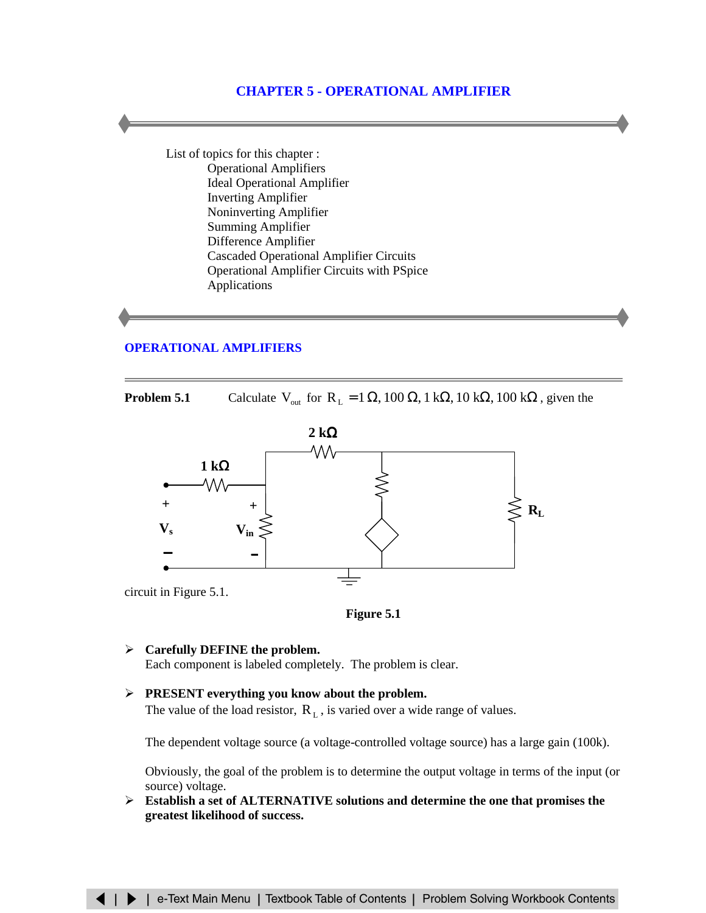# **CHAPTER 5 - OPERATIONAL AMPLIFIER**

List of topics for this chapter : Operational Amplifiers [Ideal Operational Amplifier](#page-4-0) [Inverting Amplifier](#page-8-0) [Noninverting Amplifier](#page-9-0) [Summing Amplifier](#page-10-0) [Difference Amplifier](#page-11-0) [Cascaded Operational Amplifier Circuits](#page-13-0) [Operational Amplifier Circuits with PSpice](#page-14-0) [Applications](#page-17-0)

# **[OPERATIONAL AMPLIFIERS](#page-1-0)**

**Problem 5.1** Calculate  $V_{\text{out}}$  for  $R_L = 1 \Omega$ , 100  $\Omega$ , 1 k $\Omega$ , 100 k $\Omega$ , given the





- ¾ **Carefully DEFINE the problem.** Each component is labeled completely. The problem is clear.
- ¾ **PRESENT everything you know about the problem.** The value of the load resistor,  $R<sub>L</sub>$ , is varied over a wide range of values.

The dependent voltage source (a voltage-controlled voltage source) has a large gain (100k).

Obviously, the goal of the problem is to determine the output voltage in terms of the input (or source) voltage.

¾ **Establish a set of ALTERNATIVE solutions and determine the one that promises the greatest likelihood of success.**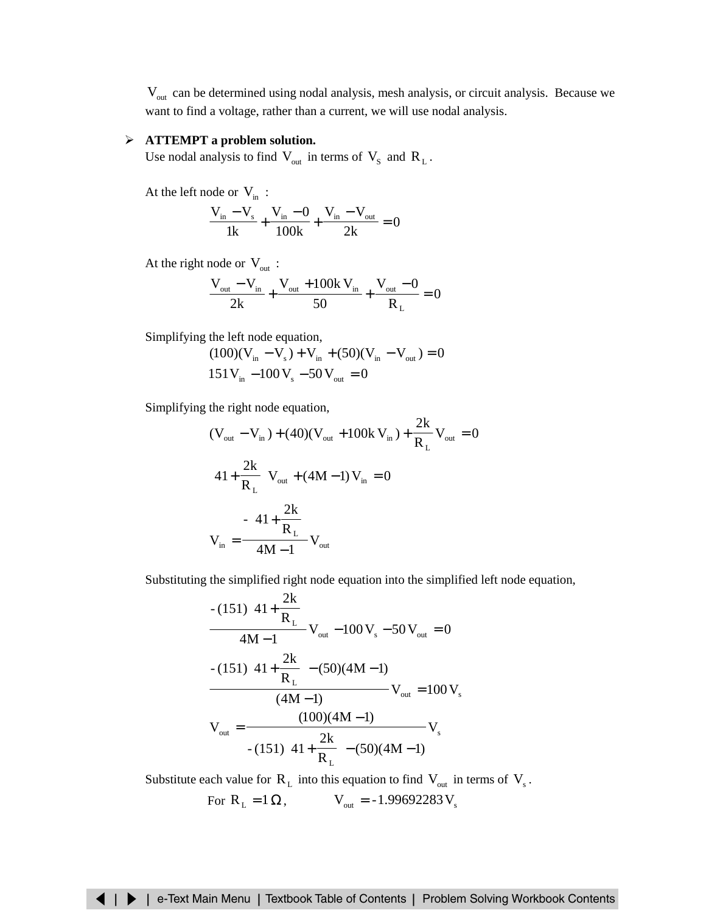<span id="page-1-0"></span>Vout can be determined using nodal analysis, mesh analysis, or circuit analysis. Because we want to find a voltage, rather than a current, we will use nodal analysis.

# ¾ **ATTEMPT a problem solution.**

Use nodal analysis to find  $V_{\text{out}}$  in terms of  $V_{\text{S}}$  and  $R_{\text{L}}$ .

At the left node or  $V_{in}$ :

$$
\frac{V_{in} - V_s}{1k} + \frac{V_{in} - 0}{100k} + \frac{V_{in} - V_{out}}{2k} = 0
$$

At the right node or  $V_{\text{out}}$ :

$$
\frac{V_{\text{out}} - V_{\text{in}}}{2k} + \frac{V_{\text{out}} + 100k V_{\text{in}}}{50} + \frac{V_{\text{out}} - 0}{R_{L}} = 0
$$

Simplifying the left node equation,

$$
(100)(V_{in} - V_{s}) + V_{in} + (50)(V_{in} - V_{out}) = 0
$$
  
151V<sub>in</sub> -100 V<sub>s</sub> -50 V<sub>out</sub> = 0

Simplifying the right node equation,

$$
(V_{out} - V_{in}) + (40)(V_{out} + 100k V_{in}) + \frac{2k}{R_{L}}V_{out} = 0
$$
  

$$
\left(41 + \frac{2k}{R_{L}}\right)V_{out} + (4M - 1)V_{in} = 0
$$
  

$$
V_{in} = \frac{-\left(41 + \frac{2k}{R_{L}}\right)}{4M - 1}V_{out}
$$

Substituting the simplified right node equation into the simplified left node equation,

$$
-(151)\left(41 + \frac{2k}{R_{L}}\right)
$$
  
\n
$$
-(151)\left(41 + \frac{2k}{R_{L}}\right)
$$
  
\n
$$
V_{out} - 100 V_{s} - 50 V_{out} = 0
$$
  
\n
$$
-(151)\left(41 + \frac{2k}{R_{L}}\right) - (50)(4M - 1)
$$
  
\n
$$
V_{out} = \frac{(100)(4M - 1)}{-(151)\left(41 + \frac{2k}{R_{L}}\right) - (50)(4M - 1)}
$$
  
\n
$$
V_{s}
$$

Substitute each value for  $R_L$  into this equation to find  $V_{\text{out}}$  in terms of  $V_s$ .

For 
$$
R_L = 1 \Omega
$$
,  $V_{out} = -1.99692283 V_s$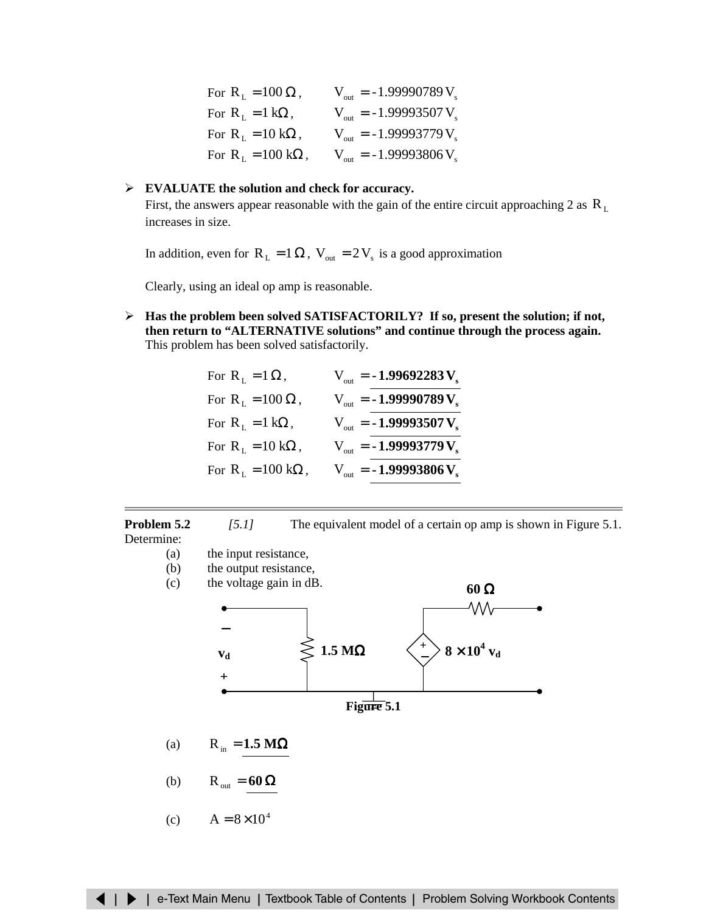| For $R_L = 100 \Omega$ ,                   | $V_{\text{out}} = -1.99990789 V_{\text{e}}$ |
|--------------------------------------------|---------------------------------------------|
| For $R_L = 1 k\Omega$ ,                    | $V_{out} = -1.99993507 V_{s}$               |
| For $R_L = 10 k\Omega$ ,                   | $V_{out} = -1.99993779 V_{s}$               |
| For $R_{\text{I}} = 100 \text{ k}\Omega$ , | $V_{out} = -1.99993806 V_{s}$               |

# ¾ **EVALUATE the solution and check for accuracy.**

First, the answers appear reasonable with the gain of the entire circuit approaching 2 as  $R_L$ increases in size.

In addition, even for  $R_L = 1 \Omega$ ,  $V_{out} = 2V_s$  is a good approximation

Clearly, using an ideal op amp is reasonable.

¾ **Has the problem been solved SATISFACTORILY? If so, present the solution; if not, then return to "ALTERNATIVE solutions" and continue through the process again.** This problem has been solved satisfactorily.

| For $R_{\text{L}} = 1 \Omega$ ,            | $V_{\text{out}} = -1.99692283 V_s$          |
|--------------------------------------------|---------------------------------------------|
| For $R_L = 100 \Omega$ ,                   | $V_{\text{out}} = -1.99990789 V_s$          |
| For $R_1 = 1 k\Omega$ ,                    | $V_{\text{out}} = -1.99993507 V_{\text{s}}$ |
| For $R_1 = 10 k\Omega$ ,                   | $V_{\text{out}} = -1.99993779 V_s$          |
| For $R_{\text{L}} = 100 \text{ k}\Omega$ , | $V_{\text{out}} = -1.99993806 V_{\text{s}}$ |

**Problem 5.2** *[5.1]* The equivalent model of a certain op amp is shown in Figure 5.1. Determine:

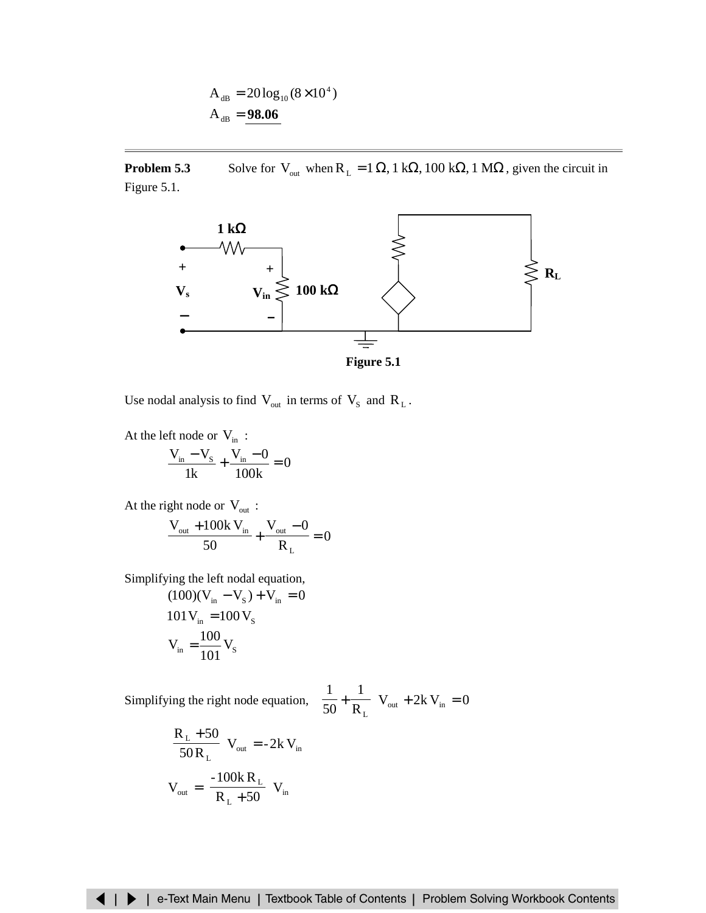$$
A_{dB} = 20\log_{10}(8 \times 10^4)
$$
  

$$
A_{dB} = 98.06
$$

**Problem 5.3** Solve for V<sub>out</sub> when  $R_L = 1 \Omega$ , 1 k $\Omega$ , 100 k $\Omega$ , 1 M $\Omega$ , given the circuit in Figure 5.1.



Use nodal analysis to find  $V_{\text{out}}$  in terms of  $V_{\text{S}}$  and  $R_{\text{L}}$ .

At the left node or  $V_{in}$ : 0 100k  $V_{in} - 0$ 1k  $\frac{V_{\text{in}} - V_{\text{S}}}{41} + \frac{V_{\text{in}} - 0}{4001} =$ 

At the right node or  $V_{\text{out}}$ : 0 R  $V_{\text{out}} - 0$ 50  $V_{\text{out}} + 100k V$ L  $\frac{V_{\text{out}} + 100k V_{\text{in}}}{50} + \frac{V_{\text{out}} - 0}{D} =$ 

Simplifying the left nodal equation,

$$
(100)(V_{in} - V_{s}) + V_{in} = 0
$$
  
101 V<sub>in</sub> = 100 V<sub>s</sub>  

$$
V_{in} = \frac{100}{101} V_{s}
$$

Simplifying the right node equation,  $\frac{1}{50} + \frac{1}{50}$   $V_{\text{out}} + 2k V_{\text{in}} = 0$ R 1 50 1 out  $\sum_{n=1}^{\infty}$  $-V_{\text{out}} + 2k V_{\text{in}} =$  $\left(\frac{1}{2} + \frac{1}{2}\right)$ l ſ +

$$
\left(\frac{R_{L} + 50}{50 R_{L}}\right) V_{out} = -2k V_{in}
$$

$$
V_{out} = \left(\frac{-100k R_{L}}{R_{L} + 50}\right) V_{in}
$$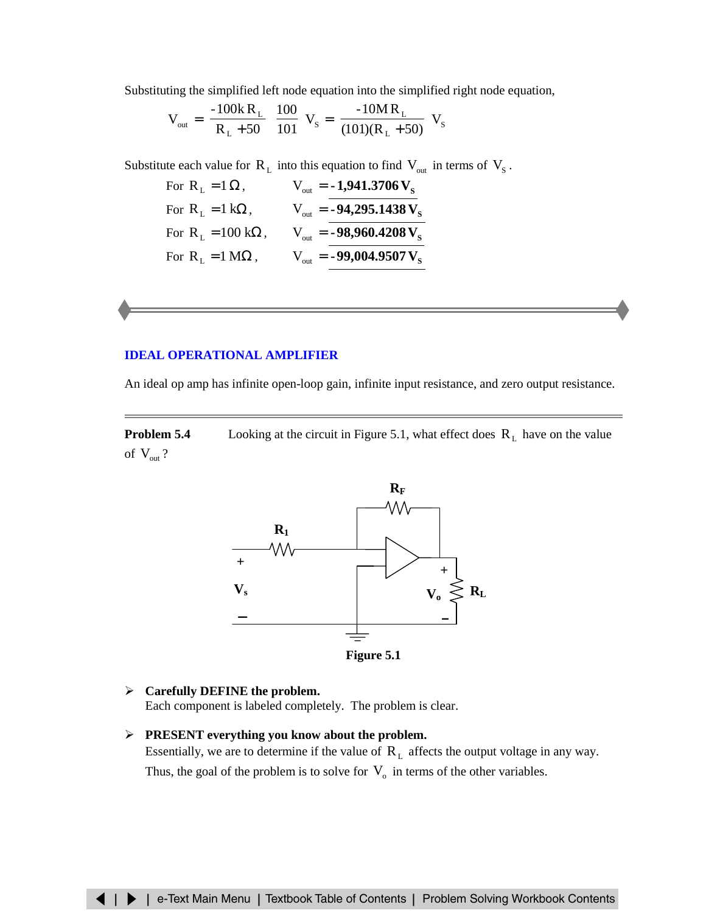<span id="page-4-0"></span>Substituting the simplified left node equation into the simplified right node equation,

$$
V_{out} = \left(\frac{-100kR_{L}}{R_{L} + 50} \right) \frac{100}{101} V_{s} = \left(\frac{-10MR_{L}}{(101)(R_{L} + 50)} \right) V_{s}
$$

Substitute each value for  $R_L$  into this equation to find  $V_{\text{out}}$  in terms of  $V_S$ .

| For $R_1 = 1 \Omega$ ,            | $V_{\text{out}} = -1,941.3706 V_{\text{s}}$  |
|-----------------------------------|----------------------------------------------|
| For $R_{L} = 1 k\Omega$ ,         | $V_{\text{out}} = -94,295.1438 V_{\text{s}}$ |
| For $R_1 = 100 \text{ k}\Omega$ , | $V_{\text{out}} = -98,960.4208 V_{\text{s}}$ |
| For $R_1 = 1 M\Omega$ ,           | $V_{\text{out}} = -99,004.9507 V_{\text{s}}$ |

## **[IDEAL OPERATIONAL AMPLIFIER](#page-5-0)**

An ideal op amp has infinite open-loop gain, infinite input resistance, and zero output resistance.

**Problem 5.4** Looking at the circuit in Figure 5.1, what effect does  $R_L$  have on the value of  $V_{out}$ ?



¾ **Carefully DEFINE the problem.** Each component is labeled completely. The problem is clear.

¾ **PRESENT everything you know about the problem.** Essentially, we are to determine if the value of  $R<sub>L</sub>$  affects the output voltage in any way. Thus, the goal of the problem is to solve for  $V_0$  in terms of the other variables.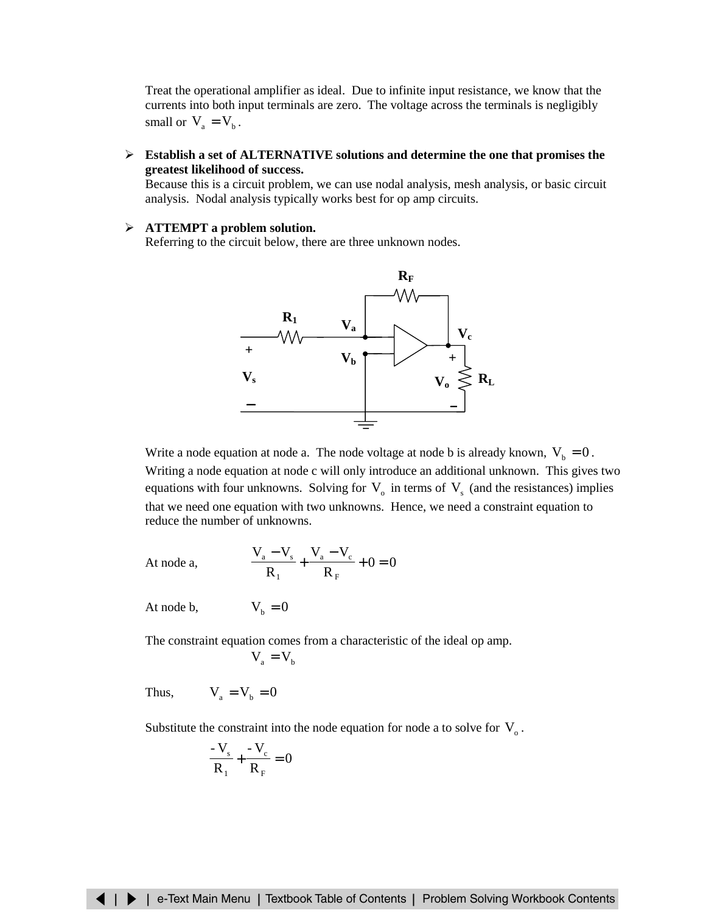<span id="page-5-0"></span>Treat the operational amplifier as ideal. Due to infinite input resistance, we know that the currents into both input terminals are zero. The voltage across the terminals is negligibly small or  $V_a = V_b$ .

¾ **Establish a set of ALTERNATIVE solutions and determine the one that promises the greatest likelihood of success.**

Because this is a circuit problem, we can use nodal analysis, mesh analysis, or basic circuit analysis. Nodal analysis typically works best for op amp circuits.

#### ¾ **ATTEMPT a problem solution.**

Referring to the circuit below, there are three unknown nodes.



Write a node equation at node a. The node voltage at node b is already known,  $V_b = 0$ . Writing a node equation at node c will only introduce an additional unknown. This gives two equations with four unknowns. Solving for  $V_0$  in terms of  $V_s$  (and the resistances) implies that we need one equation with two unknowns. Hence, we need a constraint equation to reduce the number of unknowns.

At node a, 
$$
\frac{V_a - V_s}{R_1} + \frac{V_a - V_c}{R_F} + 0 = 0
$$

At node b,  $V_b = 0$ 

The constraint equation comes from a characteristic of the ideal op amp.  $V_a = V_b$ 

Thus,  $V_a = V_b = 0$ 

Substitute the constraint into the node equation for node a to solve for  $V<sub>o</sub>$ .

$$
\frac{-V_s}{R_1} + \frac{-V_c}{R_F} = 0
$$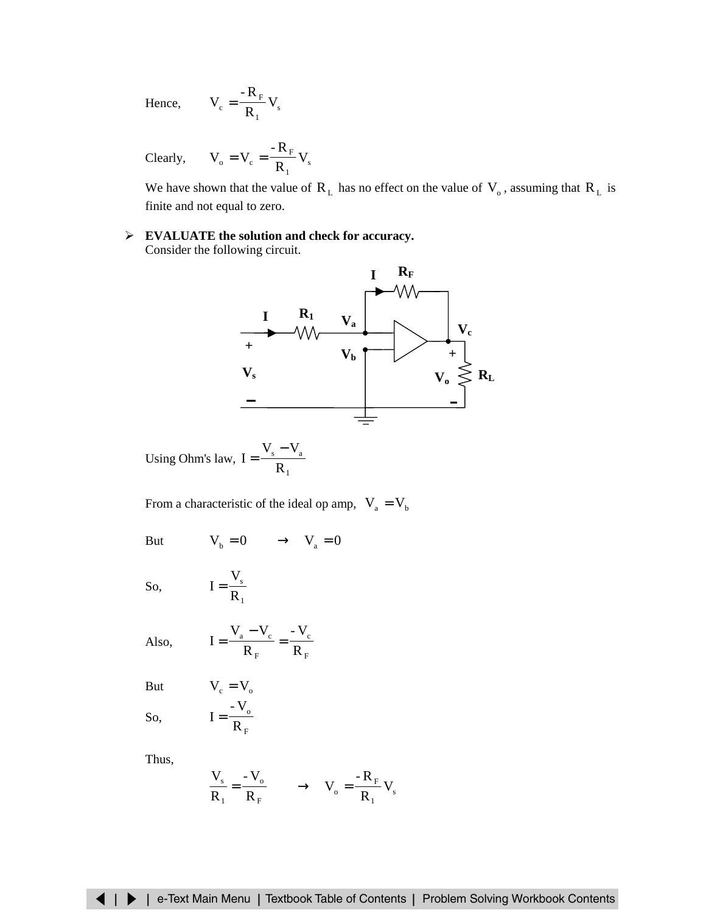<span id="page-6-0"></span>Hence, 
$$
V_c = \frac{-R_F}{R_1} V_s
$$

Clearly, 
$$
V_o = V_c = \frac{-R_F}{R_1} V_s
$$

We have shown that the value of  $R_L$  has no effect on the value of  $V_o$ , assuming that  $R_L$  is finite and not equal to zero.

¾ **EVALUATE the solution and check for accuracy.** Consider the following circuit.



Using Ohm's law, 1 s **v**<sub>a</sub> R  $I = \frac{V_s - V_s}{R}$ 

From a characteristic of the ideal op amp,  $V_a = V_b$ 

But  $V_b = 0 \longrightarrow V_a = 0$ 

1 s R V

F o R - V

So, 
$$
I =
$$

Also, 
$$
I = \frac{V_a - V_c}{R_F} = \frac{-V}{R_F}
$$

But  $V_c = V_o$ 

So, 
$$
I =
$$

Thus,

$$
\frac{V_s}{R_1} = \frac{-V_o}{R_F} \longrightarrow V_o = \frac{-R_F}{R_1} V_s
$$

F c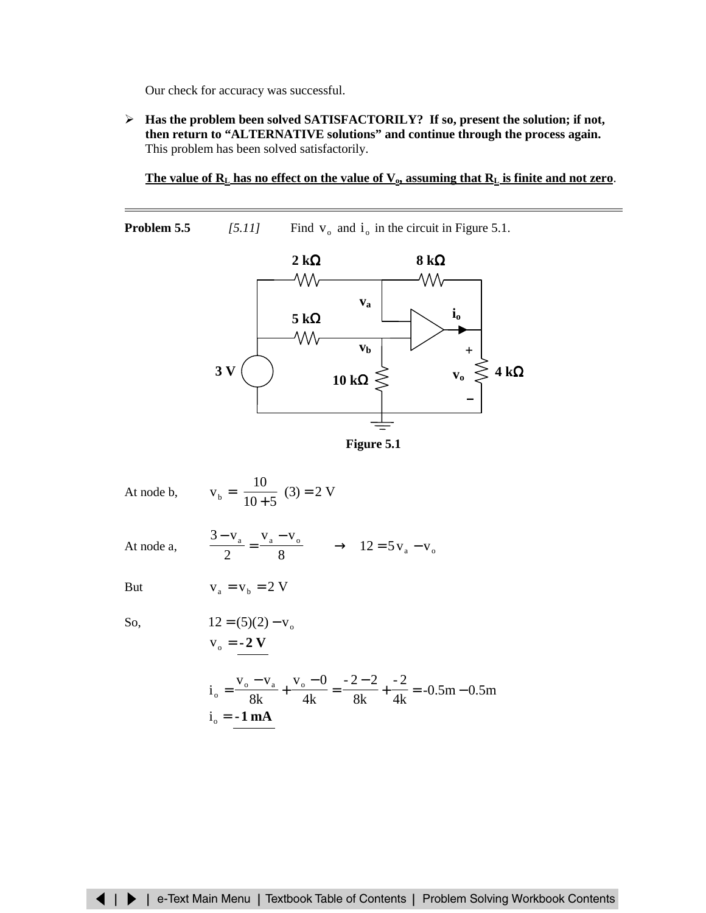Our check for accuracy was successful.

¾ **Has the problem been solved SATISFACTORILY? If so, present the solution; if not, then return to "ALTERNATIVE solutions" and continue through the process again.** This problem has been solved satisfactorily.

#### The value of  $R_L$  has no effect on the value of  $V_0$ , assuming that  $R_L$  is finite and not zero.

**Problem 5.5** *[5.11]* Find  $v_0$  and  $i_0$  in the circuit in Figure 5.1.



**Figure 5.1**

| At node b, |  | 10 | $=\left(\frac{10}{10+5}\right)(3)=2$ V |
|------------|--|----|----------------------------------------|
|------------|--|----|----------------------------------------|

2

At node a,

$$
\frac{3 - v_a}{2} = \frac{v_a - v_o}{8} \longrightarrow 12 = 5v_a - v_o
$$

But  $v_a = v_b = 2 V$ 

So,  
\n
$$
12 = (5)(2) - v_0
$$
\n
$$
v_0 = -2 V
$$

$$
io = \frac{vo - va}{8k} + \frac{vo - 0}{4k} = \frac{-2 - 2}{8k} + \frac{-2}{4k} = -0.5m - 0.5m
$$
  

$$
io = -1 mA
$$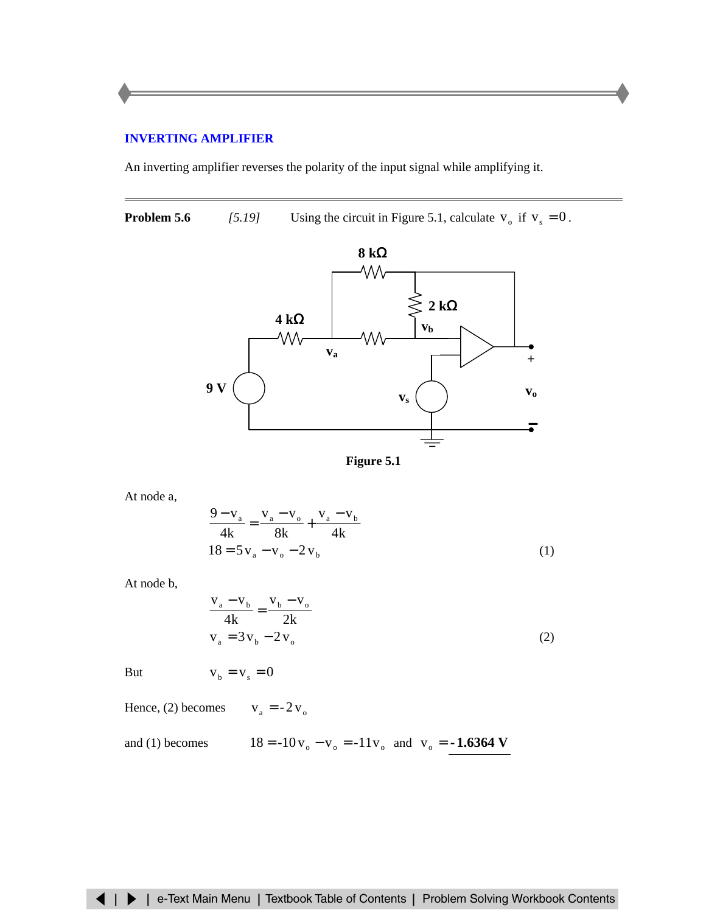# <span id="page-8-0"></span>**[INVERTING AMPLIFIER](#page-6-0)**

An inverting amplifier reverses the polarity of the input signal while amplifying it.

**Problem 5.6** *[5.19]* Using the circuit in Figure 5.1, calculate  $v_o$  if  $v_s = 0$ .





At node a,

$$
\frac{9 - v_a}{4k} = \frac{v_a - v_o}{8k} + \frac{v_a - v_b}{4k}
$$
  
18 = 5 v\_a - v\_o - 2 v\_b (1)

At node b,

$$
\frac{v_a - v_b}{4k} = \frac{v_b - v_o}{2k}
$$
  
\n
$$
v_a = 3v_b - 2v_o
$$
 (2)

$$
But \t v_b = v_s = 0
$$

Hence, (2) becomes  $v_a = -2v_o$ 

and (1) becomes 
$$
18 = -10v_0 - v_0 = -11v_0
$$
 and  $v_0 = -1.6364$  V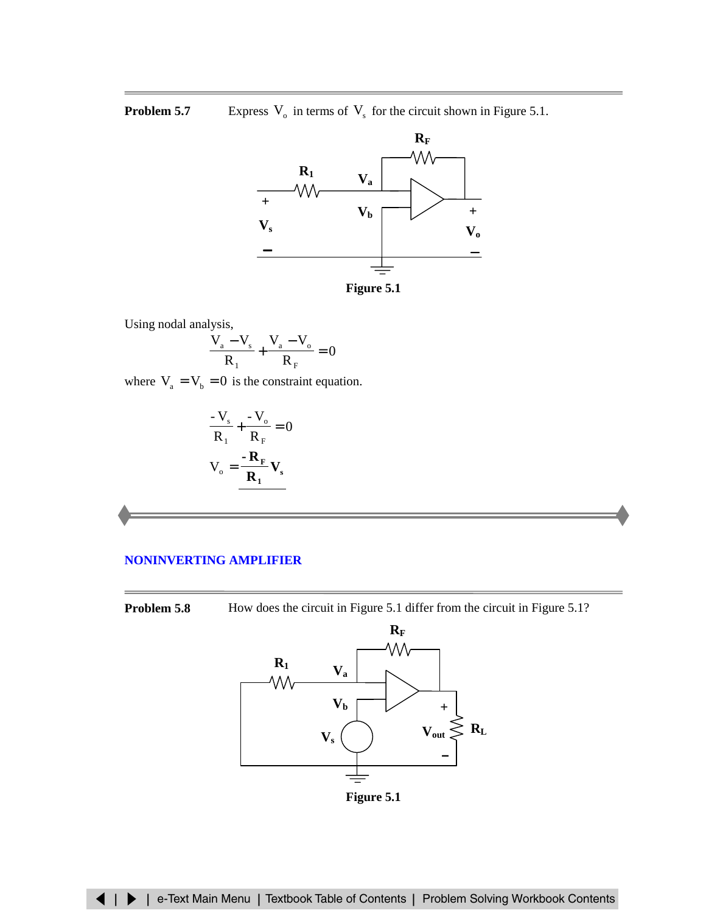# <span id="page-9-0"></span>**Problem 5.7** Express  $V_0$  in terms of  $V_s$  for the circuit shown in Figure 5.1.



**Figure 5.1**

Using nodal analysis,

$$
\frac{V_{a} - V_{s}}{R_{1}} + \frac{V_{a} - V_{o}}{R_{F}} = 0
$$

where  $V_a = V_b = 0$  is the constraint equation.

$$
\frac{-\mathbf{V}_{\mathrm{s}}}{\mathbf{R}_{1}} + \frac{-\mathbf{V}_{\mathrm{o}}}{\mathbf{R}_{F}} = 0
$$

$$
\mathbf{V}_{\mathrm{o}} = \frac{-\mathbf{R}_{F}}{\mathbf{R}_{1}} \mathbf{V}_{\mathrm{s}}
$$

#### **NONINVERTING AMPLIFIER**

**Problem 5.8** How does the circuit in Figure 5.1 differ from the circuit in Figure 5.1?



**Figure 5.1**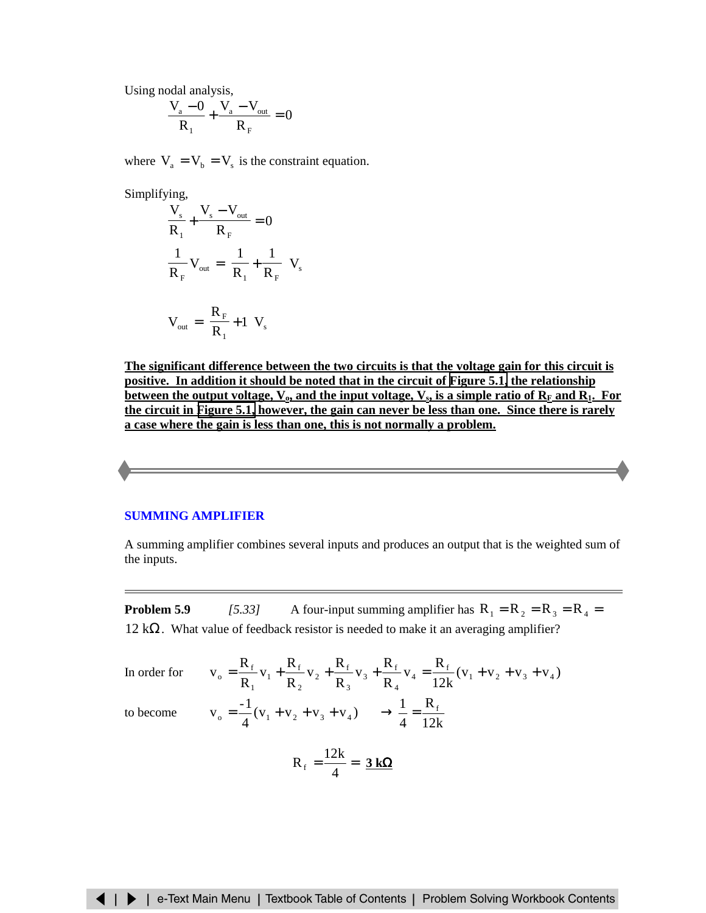<span id="page-10-0"></span>Using nodal analysis,

$$
\frac{V_a - 0}{R_1} + \frac{V_a - V_{out}}{R_F} = 0
$$

where  $V_a = V_b = V_s$  is the constraint equation.

Simplifying,

$$
\frac{V_s}{R_1} + \frac{V_s - V_{out}}{R_F} = 0
$$
  

$$
\frac{1}{R_F} V_{out} = \left(\frac{1}{R_1} + \frac{1}{R_F}\right) V_s
$$
  

$$
V_{out} = \left(\frac{R_F}{R_1} + 1\right) V_s
$$

**The significant difference between the two circuits is that the voltage gain for this circuit is positive. In addition it should be noted that in the circuit of [Figure 5.1,](#page-4-0) the relationship** between the output voltage,  $V_{\text{o}}$ , and the input voltage,  $V_{\text{s}}$ , is a simple ratio of  $R_F$  and  $R_1$ . For **the circuit in [Figure 5.1,](#page-9-0) however, the gain can never be less than one. Since there is rarely a case where the gain is less than one, this is not normally a problem.**

# **[SUMMING AMPLIFIER](#page-11-0)**

A summing amplifier combines several inputs and produces an output that is the weighted sum of the inputs.

**Problem 5.9** *[5.33]* A four-input summing amplifier has  $R_1 = R_2 = R_3 = R_4 =$ 12  $k\Omega$ . What value of feedback resistor is needed to make it an averaging amplifier?

In order for 
$$
v_0 = \frac{R_f}{R_1} v_1 + \frac{R_f}{R_2} v_2 + \frac{R_f}{R_3} v_3 + \frac{R_f}{R_4} v_4 = \frac{R_f}{12k} (v_1 + v_2 + v_3 + v_4)
$$

to become

$$
v_o = \frac{-1}{4}(v_1 + v_2 + v_3 + v_4) \longrightarrow \frac{1}{4} = \frac{R_f}{12k}
$$

$$
R_f = \frac{12k}{4} = \frac{3 k\Omega}{12}
$$

R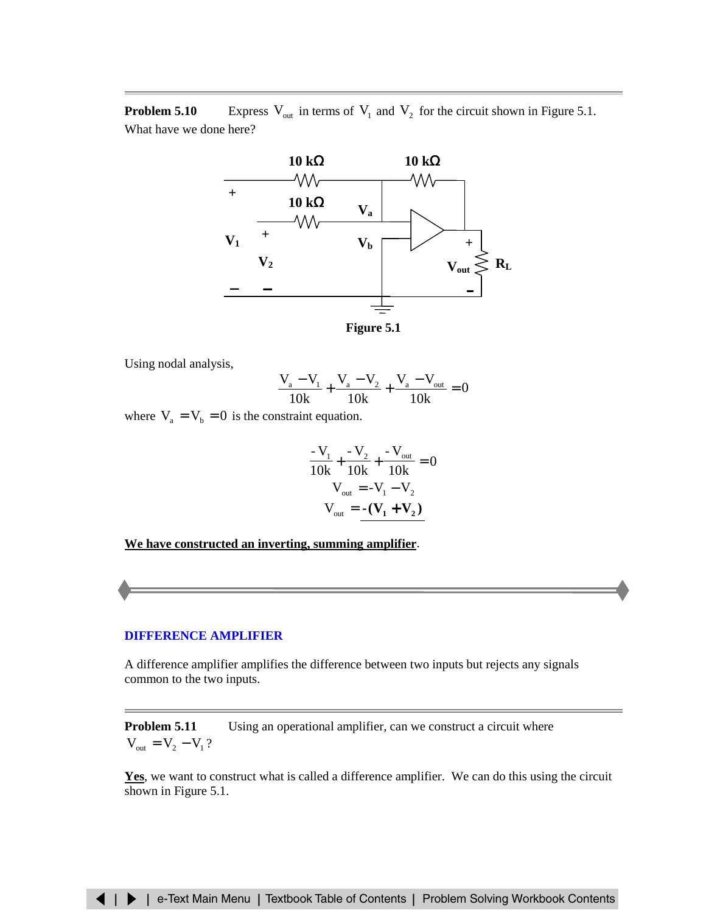<span id="page-11-0"></span>**Problem 5.10** Express  $V_{out}$  in terms of  $V_1$  and  $V_2$  for the circuit shown in Figure 5.1. What have we done here?



**Figure 5.1**

Using nodal analysis,

$$
\frac{V_a - V_1}{10k} + \frac{V_a - V_2}{10k} + \frac{V_a - V_{out}}{10k} = 0
$$

where  $V_a = V_b = 0$  is the constraint equation.

$$
\frac{-V_1}{10k} + \frac{-V_2}{10k} + \frac{-V_{out}}{10k} = 0
$$
  

$$
V_{out} = -V_1 - V_2
$$
  

$$
V_{out} = -(\mathbf{V}_1 + \mathbf{V}_2)
$$

**We have constructed an inverting, summing amplifier**.

#### **[DIFFERENCE AMPLIFIER](#page-12-0)**

A difference amplifier amplifies the difference between two inputs but rejects any signals common to the two inputs.

**Problem 5.11** Using an operational amplifier, can we construct a circuit where  $V_{\text{out}} = V_2 - V_1$  ?

Yes, we want to construct what is called a difference amplifier. We can do this using the circuit shown in Figure 5.1.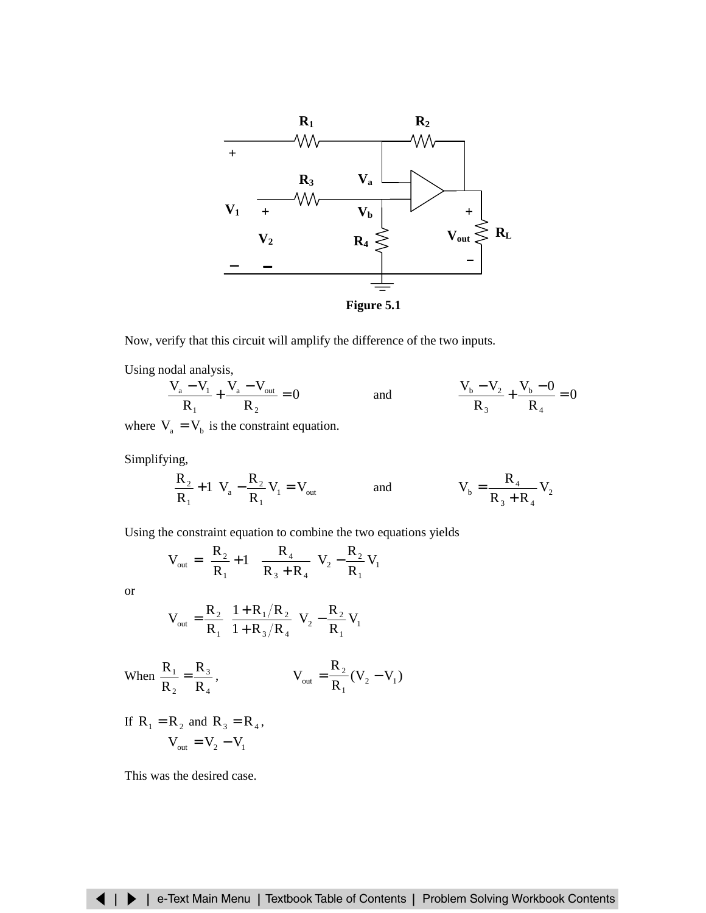<span id="page-12-0"></span>

Now, verify that this circuit will amplify the difference of the two inputs.

Using nodal analysis,

$$
\frac{V_a - V_1}{R_1} + \frac{V_a - V_{out}}{R_2} = 0
$$
 and 
$$
\frac{V_b - V_2}{R_3} + \frac{V_b - 0}{R_4} = 0
$$

where  $V_a = V_b$  is the constraint equation.

Simplifying,

$$
\left(\frac{R_2}{R_1} + 1\right) V_a - \frac{R_2}{R_1} V_1 = V_{out} \hspace{1.5cm} \text{and} \hspace{1.5cm} V_b = \frac{R_4}{R_3 + R_4} V_2
$$

Using the constraint equation to combine the two equations yields

$$
V_{\text{out}} = \left(\frac{R_2}{R_1} + 1\right) \left(\frac{R_4}{R_3 + R_4}\right) V_2 - \frac{R_2}{R_1} V_1
$$

or

$$
V_{\text{out}} = \frac{R_2}{R_1} \left( \frac{1 + R_1/R_2}{1 + R_3/R_4} \right) V_2 - \frac{R_2}{R_1} V_1
$$

When 
$$
\frac{R_1}{R_2} = \frac{R_3}{R_4}
$$
,  $V_{out} = \frac{R_2}{R_1}(V_2 - V_1)$ 

If  $R_1 = R_2$  and  $R_3 = R_4$ ,  $V_{\text{out}} = V_2 - V_1$ 

This was the desired case.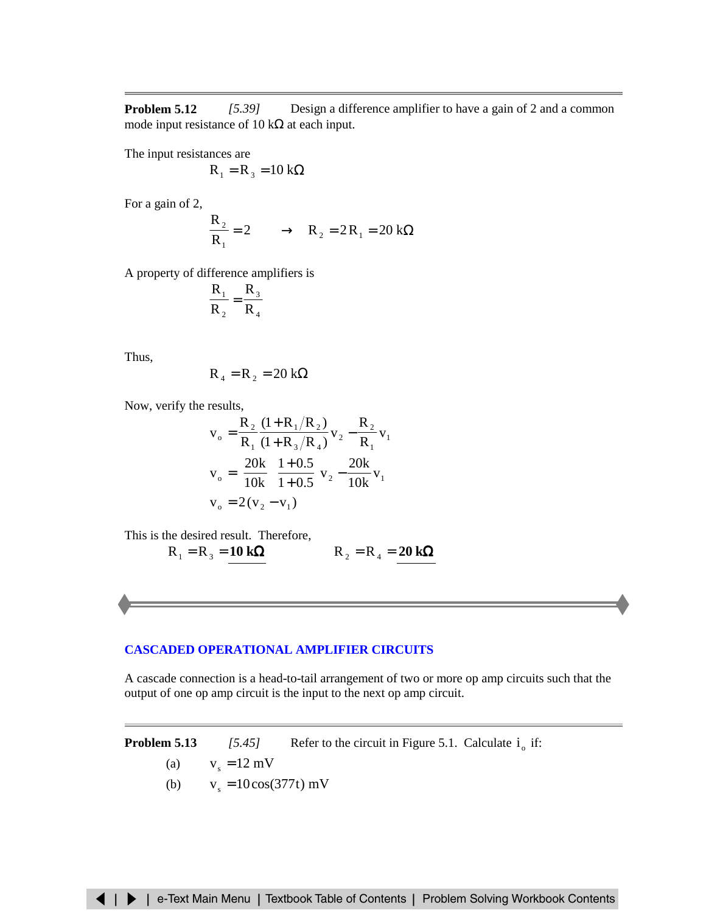<span id="page-13-0"></span>**Problem 5.12** *[5.39]* Design a difference amplifier to have a gain of 2 and a common mode input resistance of 10 k $\Omega$  at each input.

The input resistances are

$$
R_1 = R_3 = 10 \text{ k}\Omega
$$

For a gain of 2,

$$
\frac{R_2}{R_1} = 2 \longrightarrow R_2 = 2R_1 = 20 \text{ k}\Omega
$$

A property of difference amplifiers is

$$
\frac{\mathbf{R}_1}{\mathbf{R}_2} = \frac{\mathbf{R}_3}{\mathbf{R}_4}
$$

Thus,

$$
R_4 = R_2 = 20 k\Omega
$$

Now, verify the results,

$$
v_o = \frac{R_2}{R_1} \frac{(1 + R_1/R_2)}{(1 + R_3/R_4)} v_2 - \frac{R_2}{R_1} v_1
$$
  
\n
$$
v_o = \left(\frac{20k}{10k} \right) \frac{1 + 0.5}{1 + 0.5} v_2 - \frac{20k}{10k} v_1
$$
  
\n
$$
v_o = 2(v_2 - v_1)
$$

This is the desired result. Therefore,

$$
R_1 = R_3 = 10 \text{ k}\Omega
$$
 
$$
R_2 = R_4 = 20 \text{ k}\Omega
$$

## **[CASCADED OPERATIONAL AMPLIFIER CIRCUITS](#page-16-0)**

A cascade connection is a head-to-tail arrangement of two or more op amp circuits such that the output of one op amp circuit is the input to the next op amp circuit.

**Problem 5.13** *[5.45]* Refer to the circuit in Figure 5.1. Calculate  $i_0$  if:

$$
(a) \qquad v_s = 12 \text{ mV}
$$

(b)  $v_s = 10\cos(377t)$  mV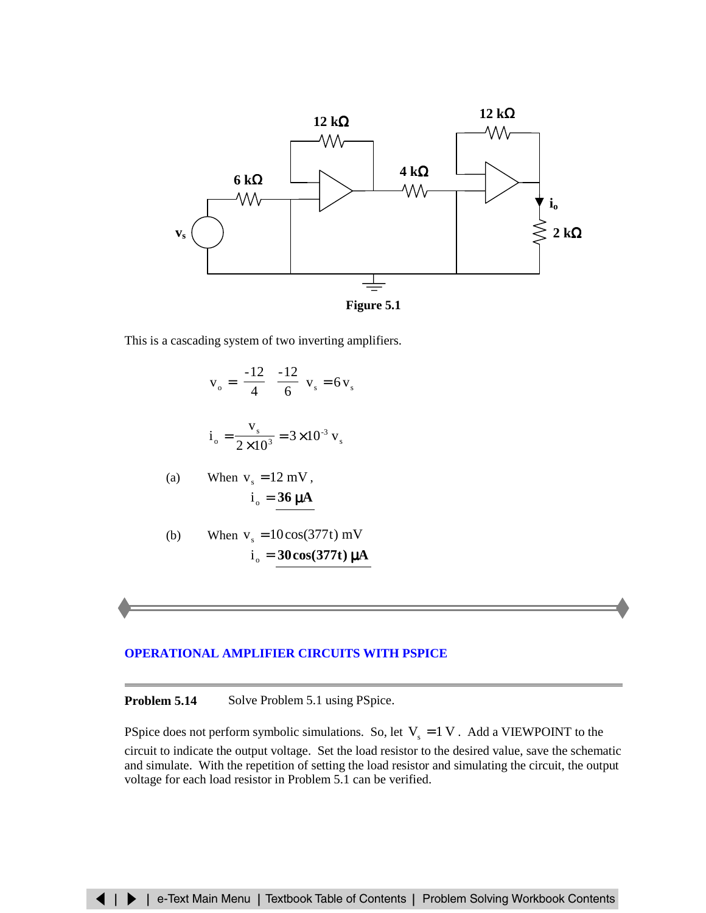<span id="page-14-0"></span>



This is a cascading system of two inverting amplifiers.

$$
v_o = \left(\frac{-12}{4}\right)\left(\frac{-12}{6}\right)v_s = 6v_s
$$
  
\n
$$
i_o = \frac{v_s}{2 \times 10^3} = 3 \times 10^{-3} v_s
$$
  
\n(a) When  $v_s = 12$  mV,  
\n
$$
i_o = \frac{36 \mu A}{}
$$
  
\n(b) When  $v_s = 10 \cos(377t)$  mV  
\n
$$
i_o = 30 \cos(377t) \mu A
$$

## **[OPERATIONAL AMPLIFIER CIRCUITS WITH](#page-18-0) PSPICE**

**Problem 5.14** Solve Problem 5.1 using PSpice.

PSpice does not perform symbolic simulations. So, let  $V_s = 1V$ . Add a VIEWPOINT to the circuit to indicate the output voltage. Set the load resistor to the desired value, save the schematic and simulate. With the repetition of setting the load resistor and simulating the circuit, the output voltage for each load resistor in Problem 5.1 can be verified.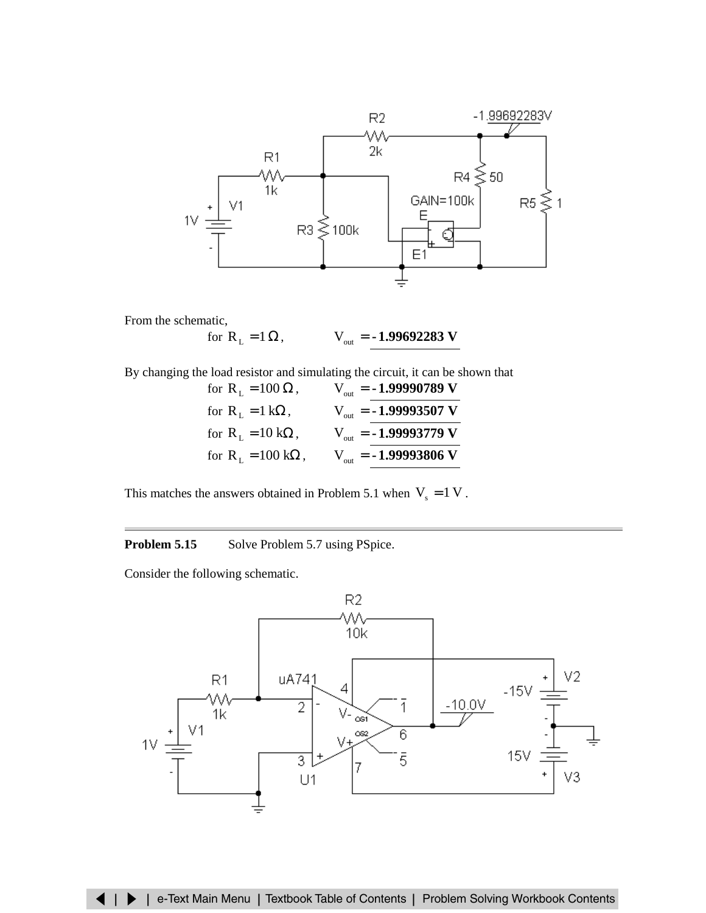

From the schematic,

for  $R_L = 1 \Omega$ ,  $V_{out} = -1.99692283$  **V** 

By changing the load resistor and simulating the circuit, it can be shown that

| for $R_{\text{L}} = 100 \Omega$ ,        | $V_{\text{out}} = -1.99990789 \text{ V}$ |
|------------------------------------------|------------------------------------------|
| for $R_{\text{L}} = 1 \text{ k}\Omega$ , | $V_{\text{out}} = -1.99993507 \text{ V}$ |
| for $R_{L} = 10 k\Omega$ ,               | $V_{\text{out}} = -1.99993779 V$         |
| for $R_L = 100 k\Omega$ ,                | $V_{\text{out}} = -1.99993806 \text{ V}$ |

This matches the answers obtained in Problem 5.1 when  $V_s = 1 V$ .

# **Problem 5.15** Solve Problem 5.7 using PSpice.

Consider the following schematic.

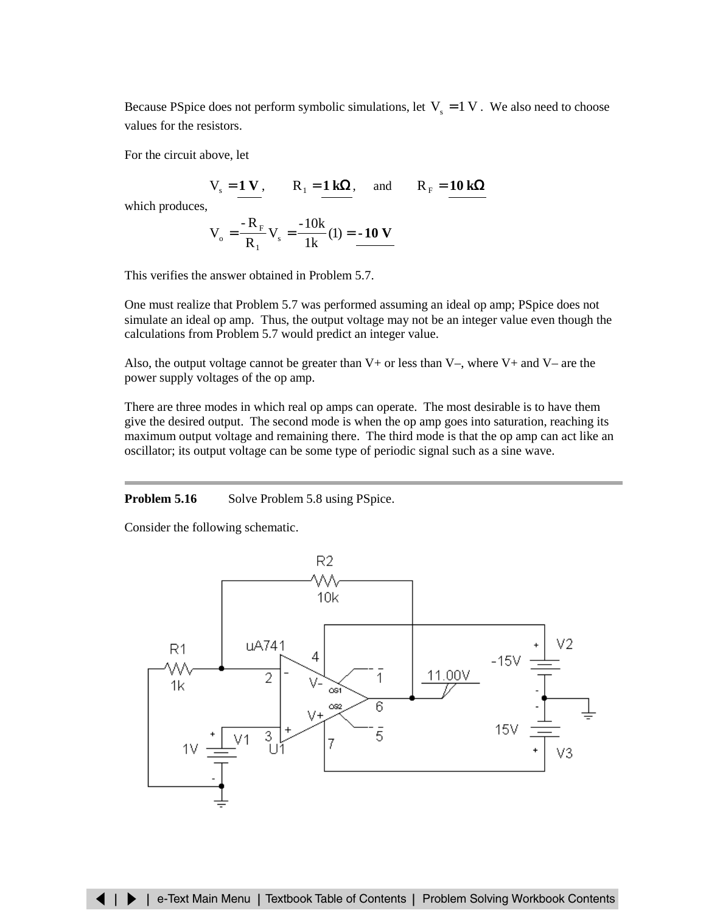<span id="page-16-0"></span>Because PSpice does not perform symbolic simulations, let  $V_s = 1$  V. We also need to choose values for the resistors.

For the circuit above, let

$$
V_s = 1 V
$$
,  $R_1 = 1 k\Omega$ , and  $R_F = 10 k\Omega$ 

which produces,

$$
V_o = \frac{{} - R_F}{R_1} V_s = \frac{{} - 10k}{1k}(1) = -10 V
$$

This verifies the answer obtained in Problem 5.7.

One must realize that Problem 5.7 was performed assuming an ideal op amp; PSpice does not simulate an ideal op amp. Thus, the output voltage may not be an integer value even though the calculations from Problem 5.7 would predict an integer value.

Also, the output voltage cannot be greater than  $V+$  or less than  $V-$ , where  $V+$  and  $V-$  are the power supply voltages of the op amp.

There are three modes in which real op amps can operate. The most desirable is to have them give the desired output. The second mode is when the op amp goes into saturation, reaching its maximum output voltage and remaining there. The third mode is that the op amp can act like an oscillator; its output voltage can be some type of periodic signal such as a sine wave.

## **Problem 5.16** Solve Problem 5.8 using PSpice.

Consider the following schematic.